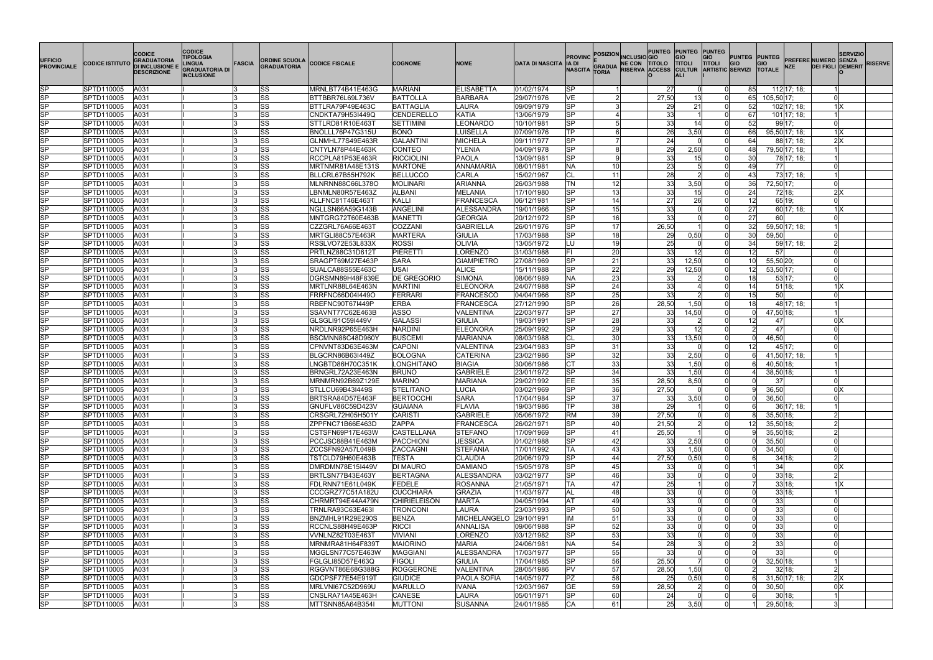| <b>UFFICIO</b><br><b>PROVINCIALE</b>             | <b>CODICE ISTITUTO</b>   | <b>CODICE</b><br><b>GRADUATORIA</b><br><b>DI INCLUSIONE E</b><br><b>DESCRIZIONE</b> | <b>CODICE</b><br><b>TIPOLOGIA</b><br><b>INGUA</b><br>GRADUATORIA DI<br><b>INCLUSIONE</b> | FASCIA   | <b>ORDINE SCUOLA</b><br><b>GRADUATORIA</b> | <b>CODICE FISCALE</b>                | <b>COGNOME</b>                      | <b>NOME</b>                  | <b>DATA DI NASCITA</b>   | IA DI<br><b>NASCITA</b> | <b>PROVINC POSIZION INCLUSIO GIO</b><br>GRADUA NE CON TITOLO<br>GRADUA RISERVA ACCESS<br><b>TORIA</b> | PUNTEG PUNTEG PUNTEG<br><b>TITOLO</b> | <b>TITOLI</b><br><b>ALI</b> | <b>GIO</b><br><b>PUNTEG PUNTEG</b><br><b>TITOLI</b><br><b>GIO</b><br>CULTUR ARTISTIC SERVIZI TOTALE | <b>GIO</b><br><b>NZE</b> | <b>SERVIZIO</b><br><b>PREFERE NUMERO SENZA</b><br><b>DEI FIGLI DEMERIT</b> | <b>RISERVE</b> |
|--------------------------------------------------|--------------------------|-------------------------------------------------------------------------------------|------------------------------------------------------------------------------------------|----------|--------------------------------------------|--------------------------------------|-------------------------------------|------------------------------|--------------------------|-------------------------|-------------------------------------------------------------------------------------------------------|---------------------------------------|-----------------------------|-----------------------------------------------------------------------------------------------------|--------------------------|----------------------------------------------------------------------------|----------------|
| SP                                               | SPTD110005               | A031                                                                                |                                                                                          |          | SS                                         | MRNLBT74B41E463G                     | <b>MARIANI</b>                      | <b>ELISABETTA</b>            | 01/02/1974               | lSP.                    |                                                                                                       | 27                                    |                             | 85                                                                                                  | 112 17; 18;              |                                                                            |                |
| $\overline{\text{SP}}$                           | SPTD110005               | A031                                                                                |                                                                                          |          | <b>SS</b>                                  | BTTBBR76L69L736V                     | BATTOLLA                            | BARBARA                      | 29/07/1976               | VE                      |                                                                                                       | 27,50                                 | 13                          | 65                                                                                                  | 105,50 17;               |                                                                            |                |
| $\overline{\text{SP}}$                           | SPTD110005               | A031                                                                                |                                                                                          |          | SS                                         | BTTLRA79P49E463C                     | BATTAGLIA                           | LAURA                        | 09/09/1979               | <b>SP</b>               |                                                                                                       | 29                                    | 21                          | 52                                                                                                  | 102 17; 18;              | $1\overline{\mathsf{X}}$                                                   |                |
| $\overline{\text{SP}}$                           | SPTD110005               | A031                                                                                |                                                                                          |          | SS                                         | CNDKTA79H53I449Q                     | <b>CENDERELLO</b>                   | <b>KATIA</b>                 | 13/06/1979               | <b>SP</b>               |                                                                                                       | 33                                    |                             | 67                                                                                                  | 101 17; 18;              |                                                                            |                |
| $\overline{\text{SP}}$                           | SPTD110005               | A031                                                                                |                                                                                          |          | SS                                         | STTLRD81R10E4631                     | <b>SETTIMINI</b>                    | LEONARDO                     | 10/10/1981               | <b>SP</b>               |                                                                                                       | 33                                    | 14                          | 52                                                                                                  | 99 17;                   |                                                                            |                |
| $\overline{\text{SP}}$                           | SPTD110005               | A031                                                                                |                                                                                          |          | SS                                         | BNOLLL76P47G315U                     | <b>BONO</b>                         | LUISELLA                     | 07/09/1976               | lTP.                    |                                                                                                       | 26                                    | 3,50                        | 66<br>Ωl                                                                                            | 95,50 17; 18;            | $1\text{X}$                                                                |                |
| SP                                               | SPTD110005               | A031                                                                                |                                                                                          | l3       | SS                                         | GLNMHL77S49E463R                     | <b>GALANTINI</b>                    | MICHELA                      | 09/11/1977               | <b>SP</b>               |                                                                                                       | 24                                    |                             | 64                                                                                                  | 88 17; 18;               | 2 X                                                                        |                |
| $\overline{\text{SP}}$                           | SPTD110005               | A031                                                                                |                                                                                          |          | ss                                         | CNTYLN78P44E463K                     | CONTEO                              | <b>YLENIA</b>                | 04/09/1978               | <b>SP</b>               |                                                                                                       | 29                                    | 2,50                        | 48<br>$\Omega$                                                                                      | 79,50 17; 18;            |                                                                            |                |
| $\overline{\text{SP}}$<br>$\overline{\text{SP}}$ | SPTD110005               | A031                                                                                |                                                                                          | l3       | SS                                         | RCCPLA81P53E463R                     | <b>RICCIOLINI</b><br><b>MARTONE</b> | PAOLA<br><b>ANNAMARIA</b>    | 13/09/1981               | <b>SP</b>               | q                                                                                                     | 33<br>$\overline{23}$                 | 15                          | 30<br>U<br>49                                                                                       | 78 17; 18;<br>77         |                                                                            |                |
| SP                                               | SPTD110005<br>SPTD110005 | A031<br>A031                                                                        |                                                                                          |          | SS                                         | MRTNMR81A48E131S<br>BLLCRL67B55H792K | <b>BELLUCCO</b>                     | <b>CARLA</b>                 | 08/01/1981<br>15/02/1967 | <b>NA</b><br>CL         | 10<br>11                                                                                              | $\overline{28}$                       |                             | 43                                                                                                  | 73 17; 18;               |                                                                            |                |
| SP                                               | SPTD110005               | A031                                                                                |                                                                                          | l3       | SS<br> SS                                  | MLNRNN88C66L378O                     | <b>MOLINARI</b>                     | ARIANNA                      | 26/03/1988               | <b>TN</b>               | 12                                                                                                    | 33                                    | 3,50                        | 36                                                                                                  | 72,50 17;                |                                                                            |                |
| SP                                               | SPTD110005               | A031                                                                                |                                                                                          |          | SS                                         | LBNMLN80R57E463Z                     | ALBANI                              | <b>MELANIA</b>               | 17/10/1980               | lSP.                    | 13                                                                                                    | 33                                    | 15                          | 24                                                                                                  | 72 18;                   | 2 X                                                                        |                |
| $\overline{\text{SP}}$                           | SPTD110005               | A031                                                                                |                                                                                          |          | SS                                         | KLLFNC81T46E463T                     | KALLI                               | FRANCESCA                    | 06/12/1981               | <b>SP</b>               | 14                                                                                                    | $\overline{27}$                       | 26                          | 12                                                                                                  | 65 19;                   |                                                                            |                |
| $\overline{\text{SP}}$                           | SPTD110005               | A031                                                                                |                                                                                          |          | SS                                         | NGLLSN66A59G143B                     | ANGELINI                            | ALESSANDRA                   | 19/01/1966               | S <sub>P</sub>          | 15                                                                                                    | $\overline{33}$                       |                             | 27                                                                                                  | 60 17; 18;               | 1 <sup>1</sup>                                                             |                |
| SP                                               | SPTD110005               | A031                                                                                |                                                                                          |          | <b>SS</b>                                  | MNTGRG72T60E463B                     | MANETTI                             | <b>GEORGIA</b>               | 20/12/1972               | lSP.                    | 16                                                                                                    | 33                                    |                             | 27                                                                                                  | 60l                      |                                                                            |                |
| SP                                               | SPTD110005               | A031                                                                                |                                                                                          |          | SS                                         | CZZGRL76A66E463T                     | COZZANI                             | GABRIELLA                    | 26/01/1976               | <b>SP</b>               | 17                                                                                                    | 26,50                                 |                             | 32                                                                                                  | 59,50 17; 18;            |                                                                            |                |
| $\overline{\text{SP}}$                           | SPTD110005               | A031                                                                                |                                                                                          | 13       | SS                                         | MRTGLI88C57E463R                     | MARTERA                             | <b>GIULIA</b>                | 17/03/1988               | <b>SP</b>               | 18                                                                                                    | 29                                    | 0,50                        | 30<br>0l                                                                                            | 59,50                    |                                                                            |                |
| $\overline{\text{SP}}$                           | SPTD110005               | A031                                                                                |                                                                                          |          | SS                                         | RSSLVO72E53L833X                     | <b>ROSSI</b>                        | OLIVIA                       | 13/05/1972               | LU                      | 19                                                                                                    | 25                                    |                             | 34                                                                                                  | 59 17; 18:               |                                                                            |                |
| $\overline{\text{SP}}$                           | SPTD110005               | A031                                                                                |                                                                                          |          | <b>SS</b>                                  | PRTLNZ88C31D612T                     | PIERETTI                            | LORENZO                      | 31/03/1988               | lFI.                    | 20                                                                                                    | 33                                    | 12 <sup>1</sup>             | 12<br>$\Omega$                                                                                      | 57                       |                                                                            |                |
| $\overline{\text{SP}}$                           | SPTD110005               | A031                                                                                |                                                                                          |          | <b>SS</b>                                  | SRAGPT69M27E463P                     | <b>SARA</b>                         | <b>GIAMPIETRO</b>            | 27/08/1969               | <b>SP</b>               | 21                                                                                                    | 33                                    | 12,50                       | 10 <sup>1</sup><br>ി                                                                                | 55,50 20;                |                                                                            |                |
| SP                                               | SPTD110005               | A031                                                                                |                                                                                          |          | lss                                        | SUALCA88S55E463C                     | <b>USAI</b>                         | <b>ALICE</b>                 | 15/11/1988               | lSP                     | 22                                                                                                    | 29                                    | 12,50                       | 12 <sup>1</sup><br>Ωl                                                                               | 53,50 17;                |                                                                            |                |
| $\overline{\text{SP}}$                           | SPTD110005               | A031                                                                                |                                                                                          |          | SS                                         | DGRSMN89H48F839E                     | <b>DE GREGORIO</b>                  | SIMONA                       | 08/06/1989               | <b>NA</b>               | 23                                                                                                    | 33                                    |                             | 18<br>U                                                                                             | 53 17;                   |                                                                            |                |
| $\overline{\text{SP}}$                           | SPTD110005               | A031                                                                                |                                                                                          | l3       | SS                                         | MRTLNR88L64E463N                     | MARTINI                             | <b>ELEONORA</b>              | 24/07/1988               | <b>SP</b>               | $\overline{24}$                                                                                       | 33                                    |                             | 14                                                                                                  | 51 18;                   | 1 X                                                                        |                |
| $\overline{\text{SP}}$                           | SPTD110005               | A031                                                                                |                                                                                          |          | <b>SS</b>                                  | <b>FRRFNC66D04I449O</b>              | FERRARI                             | FRANCESCO                    | 04/04/1966               | S <sub>P</sub>          | $\overline{25}$                                                                                       | 33                                    |                             | 15                                                                                                  | 50l                      |                                                                            |                |
| $\overline{\text{SP}}$                           | SPTD110005               | A031                                                                                |                                                                                          |          | lss                                        | RBEFNC90T67I449P                     | <b>ERBA</b>                         | FRANCESCA                    | 27/12/1990               | <b>SP</b>               | 26                                                                                                    | 28,50                                 | 1,50                        | 18<br>$\Omega$                                                                                      | 48 17; 18;               |                                                                            |                |
| SP                                               | SPTD110005               | A031                                                                                |                                                                                          |          | lss                                        | SSAVNT77C62E463B                     | ASSO                                | VALENTINA                    | 22/03/1977               | lSP                     | 27                                                                                                    | 33                                    | 14,50                       |                                                                                                     | 47,50 18;                |                                                                            |                |
| $\overline{\text{SP}}$                           | SPTD110005               | A031                                                                                |                                                                                          |          | SS                                         | GLSGLI91C59I449V                     | <b>GALASSI</b>                      | <b>GIULIA</b>                | 19/03/1991               | <b>SP</b>               | 28                                                                                                    | 33                                    |                             | 12                                                                                                  | 471                      | 0 <sup>2</sup>                                                             |                |
| $\overline{\text{SP}}$                           | SPTD110005               | A031                                                                                |                                                                                          | 13       | SS                                         | NRDLNR92P65E463H                     | <b>NARDINI</b>                      | <b>ELEONORA</b>              | 25/09/1992               | lSP                     | 29                                                                                                    | 33                                    | 12 <sup>l</sup>             | $\overline{2}$<br>0                                                                                 | 47                       |                                                                            |                |
| $\overline{\text{SP}}$                           | SPTD110005               | A031                                                                                |                                                                                          | 13       | SS                                         | BSCMNN88C48D960Y                     | <b>BUSCEM</b>                       | MARIANNA                     | 08/03/1988               | CL                      | $\overline{30}$                                                                                       | 33                                    | 13,50                       | $\Omega$                                                                                            | 46,50                    |                                                                            |                |
| SP                                               | SPTD110005               | A031                                                                                |                                                                                          |          | lss                                        | CPNVNT83D63E463M                     | CAPONI                              | VALENTINA                    | 23/04/1983               | <b>SP</b>               | 31                                                                                                    | 33                                    |                             | 12<br>$\Omega$                                                                                      | 45 17;                   |                                                                            |                |
| $\overline{\text{SP}}$                           | SPTD110005               | A031                                                                                |                                                                                          |          | SS                                         | BLGCRN86B63I449Z                     | <b>BOLOGNA</b>                      | <b>CATERINA</b>              | 23/02/1986               | <b>SP</b>               | 32                                                                                                    | 33                                    | 2,50                        | ി                                                                                                   | 41,50 17; 18;            |                                                                            |                |
| SP                                               | SPTD110005               | A031                                                                                |                                                                                          |          | <b>SS</b>                                  | LNGBTD86H70C351K                     | LONGHITANO                          | BIAGIA                       | 30/06/1986               | Iст                     | 33                                                                                                    | 33                                    | 1,50                        | <sup>0</sup>                                                                                        | 40,50 18;                |                                                                            |                |
| $\overline{\text{SP}}$                           | SPTD110005               | A031                                                                                |                                                                                          |          | SS                                         | BRNGRL72A23E463N                     | <b>BRUNO</b>                        | GABRIELE                     | 23/01/1972               | <b>SP</b>               | 34                                                                                                    | 33                                    | 1,50                        | 0l                                                                                                  | 38,50 18;                |                                                                            |                |
| SP                                               | SPTD110005               | A031                                                                                |                                                                                          | l3       | SS                                         | MRNMRN92B69Z129E                     | <b>MARINO</b>                       | MARIANA                      | 29/02/1992               | lЕE                     | 35                                                                                                    | 28,50                                 | 8,50                        | 0l                                                                                                  | 37                       |                                                                            |                |
| <b>SP</b>                                        | SPTD110005               | A031                                                                                |                                                                                          |          | lss                                        | STLLCU69B43I449S                     | <b>STELITANO</b>                    | <b>LUCIA</b>                 | 03/02/1969               | lsP                     | 36                                                                                                    | 27.50                                 |                             |                                                                                                     | 36.50                    | 0lX                                                                        |                |
| <b>SP</b><br>$\overline{\text{SP}}$              | SPTD110005<br>SPTD110005 | A031<br>A031                                                                        |                                                                                          | 13<br>13 | SS                                         | BRTSRA84D57E463F<br>GNUFLV86C59D423V | <b>BERTOCCHI</b><br><b>GUAIANA</b>  | <b>SARA</b><br><b>FLAVIA</b> | 17/04/1984<br>19/03/1986 | <b>SP</b><br>lTP.       | 37<br>38                                                                                              | 33<br>29                              | 3,50                        | 0l<br>ി                                                                                             | 36,50<br>36 17; 18;      |                                                                            |                |
| <b>SP</b>                                        | SPTD110005               |                                                                                     |                                                                                          |          | SS<br>SS                                   | CRSGRL72H05H501Y                     | CARISTI                             | <b>GABRIELE</b>              | 05/06/1972               | <b>RM</b>               | 39                                                                                                    | 27,50                                 |                             | 0l                                                                                                  | 35,50 18;                |                                                                            |                |
| $\overline{\text{SP}}$                           | SPTD110005               | A031<br>A031                                                                        |                                                                                          | 13       | SS                                         | ZPPFNC71B66E463D                     | <b>ZAPPA</b>                        | FRANCESCA                    | 26/02/1971               | <b>SP</b>               | 40                                                                                                    | 21,50                                 |                             | 12 <sup>1</sup><br>ി                                                                                | 35,50 18;                |                                                                            |                |
| S <sub>P</sub>                                   | SPTD110005               | A031                                                                                |                                                                                          | 13       | <b>SS</b>                                  | CSTSFN69P17E463W                     | <b>CASTELLANA</b>                   | <b>STEFANO</b>               | 17/09/1969               | <b>SP</b>               | 41                                                                                                    | 25,50                                 |                             | 0l                                                                                                  | 35,50 18;                |                                                                            |                |
| <b>SP</b>                                        | SPTD110005               | A031                                                                                |                                                                                          |          | <b>SS</b>                                  | PCCJSC88B41E463M                     | PACCHIONI                           | <b>JESSICA</b>               | 01/02/1988               | <b>SP</b>               | 42                                                                                                    | 33                                    | 2,50                        | <sup>0</sup>                                                                                        | 35,50                    |                                                                            |                |
| $\overline{\text{SP}}$                           | SPTD110005               | A031                                                                                |                                                                                          |          | SS                                         | ZCCSFN92A57L049B                     | <b>ZACCAGNI</b>                     | STEFANIA                     | 17/01/1992               | TA                      | 43                                                                                                    | 33                                    | 1,50                        | Ωl                                                                                                  | 34,50                    |                                                                            |                |
| <b>SP</b>                                        | SPTD110005               | A031                                                                                |                                                                                          |          | <b>SS</b>                                  | TSTCLD79H60E463B                     | <b>TESTA</b>                        | <b>CLAUDIA</b>               | 20/06/1979               | <b>SP</b>               | 44                                                                                                    | 27,50                                 | 0,50                        | Ωl                                                                                                  | 34 18;                   |                                                                            |                |
| $S$ P                                            | SPTD110005               | A031                                                                                |                                                                                          |          | SS                                         | DMRDMN78E15I449V                     | <b>DI MAURO</b>                     | DAMIANO                      | 15/05/1978               | <b>SP</b>               | 45                                                                                                    | 33                                    |                             | Ωl                                                                                                  | 34                       | 0 X                                                                        |                |
| $\overline{\text{SP}}$                           | SPTD110005               | A031                                                                                |                                                                                          |          | SS                                         | BRTLSN77B43E463Y                     | <b>BERTAGNA</b>                     | <b>ALESSANDRA</b>            | 03/02/1977               | <b>SP</b>               | 46                                                                                                    | 33                                    |                             | <sup>0</sup>                                                                                        | 33 18;                   |                                                                            |                |
| S <sub>P</sub>                                   | SPTD110005               | A031                                                                                |                                                                                          | 13       | SS                                         | FDLRNN71E61L049K                     | <b>FEDELE</b>                       | <b>ROSANNA</b>               | 21/05/1971               | <b>TA</b>               | 47                                                                                                    | 25                                    |                             |                                                                                                     | 33 18;                   | 1 X                                                                        |                |
| $\overline{\text{SP}}$                           | SPTD110005               | A031                                                                                |                                                                                          | 13       | <b>SS</b>                                  | CCCGRZ77C51A182U                     | <b>CUCCHIARA</b>                    | GRAZIA                       | 11/03/1977               | <b>JAL</b>              | 48                                                                                                    | 33                                    |                             | $\Omega$                                                                                            | 33 18;                   |                                                                            |                |
| $\overline{\text{SP}}$                           | SPTD110005               | A031                                                                                |                                                                                          | lЗ       | SS                                         | CHRMRT94E44A479N                     | <b>CHIRIELEISON</b>                 | <b>MARTA</b>                 | 04/05/1994               | AT                      | 49                                                                                                    | 33                                    |                             | ി                                                                                                   | 33                       |                                                                            |                |
| $S$ P                                            | SPTD110005               | A031                                                                                |                                                                                          | 13       | SS                                         | TRNLRA93C63E463I                     | <b>TRONCONI</b>                     | LAURA                        | 23/03/1993               | lSP.                    | 50                                                                                                    | 33                                    |                             |                                                                                                     | 33                       |                                                                            |                |
| <b>SP</b>                                        | SPTD110005               | A031                                                                                |                                                                                          | 13       | SS                                         | BNZMHL91R29E290S                     | <b>BENZA</b>                        | MICHELANGELO                 | 29/10/1991               | IM                      | 51                                                                                                    | 33                                    |                             |                                                                                                     | 33                       |                                                                            |                |
| $\overline{\text{SP}}$                           | SPTD110005               | A031                                                                                |                                                                                          | 13       | SS                                         | RCCNLS88H49E463P                     | <b>RICCI</b>                        | <b>ANNALISA</b>              | 09/06/1988               | <b>SP</b>               | 52                                                                                                    | 33                                    |                             | Ωl                                                                                                  | 33                       |                                                                            |                |
| <b>SP</b>                                        | SPTD110005               | A031                                                                                |                                                                                          | 13       | SS                                         | VVNLNZ82T03E463T                     | <b>VIVIANI</b>                      | <b>LORENZO</b>               | 03/12/1982               | <b>SP</b>               | $\overline{53}$                                                                                       | 33                                    |                             |                                                                                                     | 33                       |                                                                            |                |
| $\overline{\text{SP}}$                           | SPTD110005               | A031                                                                                |                                                                                          |          | SS                                         | MRNMRA81H64F839T                     | <b>MAIORINO</b>                     | <b>MARIA</b>                 | 24/06/1981               | <b>NA</b>               | 54                                                                                                    | 28                                    |                             | -2                                                                                                  | 33                       |                                                                            |                |
| $\overline{\text{SP}}$                           | SPTD110005               | A031                                                                                |                                                                                          |          | SS                                         | MGGLSN77C57E463W                     | MAGGIANI                            | <b>ALESSANDRA</b>            | 17/03/1977               | <b>SP</b>               | 55                                                                                                    | 33                                    |                             | ി                                                                                                   | 33 <sup>1</sup>          |                                                                            |                |
| SP                                               | SPTD110005               | A031                                                                                |                                                                                          |          | SS                                         | FGLGLI85D57E463Q                     | <b>FIGOLI</b>                       | <b>GIULIA</b>                | 17/04/1985               | <b>SP</b>               | 56                                                                                                    | 25,50                                 |                             | 0l                                                                                                  | 32,50 18;                |                                                                            |                |
| <b>SP</b>                                        | SPTD110005               | A031                                                                                |                                                                                          |          | SS                                         | RGGVNT86E68G388G                     | ROGGERONE                           | <b>VALENTINA</b>             | 28/05/1986               | <b>PV</b>               | 57                                                                                                    | 28,50                                 | 1,50                        | 0l                                                                                                  | 32 18;                   |                                                                            |                |
| S <sub>P</sub>                                   | SPTD110005               | A031                                                                                |                                                                                          | 13       | SS                                         | GDCPSF77E54E919T                     | <b>GIUDICE</b>                      | <b>PAOLA SOFIA</b>           | 14/05/1977               | PZ                      | 58                                                                                                    | 25                                    | 0,50                        | 0l                                                                                                  | 31,50 17;18;             | 2X                                                                         |                |
| <b>SP</b>                                        | SPTD110005               | A031                                                                                |                                                                                          |          | SS                                         | MRLVNI67C52D969U                     | MARULLO                             | IIVANA                       | 12/03/1967               | GE                      | 59                                                                                                    | 28,50                                 |                             |                                                                                                     | 30,50                    | 0X                                                                         |                |
| S <sub>P</sub>                                   | SPTD110005               | A031                                                                                |                                                                                          | 13       | SS                                         | CNSLRA71A45E463H                     | <b>CANESE</b>                       | <b>LAURA</b>                 | 05/01/1971               | <b>SP</b>               | 60                                                                                                    | 24                                    |                             | $\Omega$                                                                                            | 30 18;                   |                                                                            |                |
| S <sub>P</sub>                                   | SPTD110005               | A031                                                                                |                                                                                          | 13       | <b>SS</b>                                  | MTTSNN85A64B354I                     | MUTTONI                             | SUSANNA                      | 24/01/1985               | <b>CA</b>               | -61                                                                                                   | 25                                    | 3,50                        | 0I                                                                                                  | 29,50 18;                |                                                                            |                |